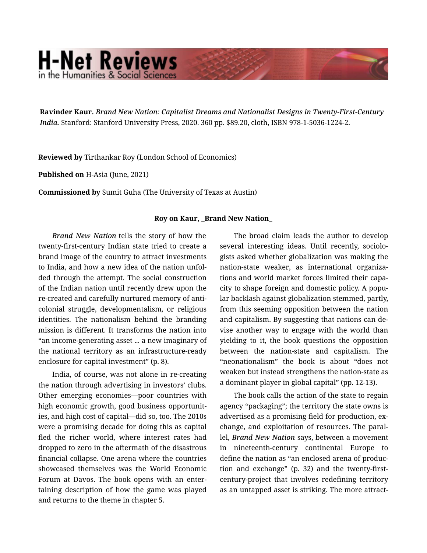## **H-Net Reviews** in the Humanities & Social Scienc

Ravinder Kaur. *Brand New Nation: Capitalist Dreams and Nationalist Designs in Twenty-First-Century India.* Stanford: Stanford University Press, 2020. 360 pp. \$89.20, cloth, ISBN 978-1-5036-1224-2.

Reviewed by Tirthankar Roy (London School of Economics)

Published on H-Asia (June, 2021)

Commissioned by Sumit Guha (The University of Texas at Austin)

## Roy on Kaur, \_Brand New Nation\_

*Brand New Nation* tells the story of how the twenty-first-century Indian state tried to create a brand image of the country to attract investments to India, and how a new idea of the nation unfol‐ ded through the attempt. The social construction of the Indian nation until recently drew upon the re-created and carefully nurtured memory of anti‐ colonial struggle, developmentalism, or religious identities. The nationalism behind the branding mission is different. It transforms the nation into "an income-generating asset ... a new imaginary of the national territory as an infrastructure-ready enclosure for capital investment" (p. 8).

India, of course, was not alone in re-creating the nation through advertising in investors' clubs. Other emerging economies—poor countries with high economic growth, good business opportunit‐ ies, and high cost of capital—did so, too. The 2010s were a promising decade for doing this as capital fled the richer world, where interest rates had dropped to zero in the aftermath of the disastrous financial collapse. One arena where the countries showcased themselves was the World Economic Forum at Davos. The book opens with an enter‐ taining description of how the game was played and returns to the theme in chapter 5.

The broad claim leads the author to develop several interesting ideas. Until recently, sociologists asked whether globalization was making the nation-state weaker, as international organiza‐ tions and world market forces limited their capa‐ city to shape foreign and domestic policy. A popu‐ lar backlash against globalization stemmed, partly, from this seeming opposition between the nation and capitalism. By suggesting that nations can de‐ vise another way to engage with the world than yielding to it, the book questions the opposition between the nation-state and capitalism. The "neonationalism" the book is about "does not weaken but instead strengthens the nation-state as a dominant player in global capital" (pp. 12-13).

The book calls the action of the state to regain agency "packaging"; the territory the state owns is advertised as a promising field for production, ex‐ change, and exploitation of resources. The paral‐ lel, *Brand New Nation* says, between a movement in nineteenth-century continental Europe to define the nation as "an enclosed arena of produc‐ tion and exchange" (p. 32) and the twenty-firstcentury-project that involves redefining territory as an untapped asset is striking. The more attract‐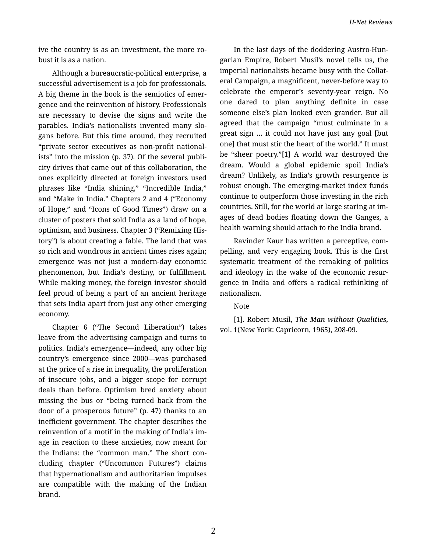ive the country is as an investment, the more robust it is as a nation.

Although a bureaucratic-political enterprise, a successful advertisement is a job for professionals. A big theme in the book is the semiotics of emer‐ gence and the reinvention of history. Professionals are necessary to devise the signs and write the parables. India's nationalists invented many slo‐ gans before. But this time around, they recruited "private sector executives as non-profit national‐ ists" into the mission (p. 37). Of the several publi‐ city drives that came out of this collaboration, the ones explicitly directed at foreign investors used phrases like "India shining," "Incredible India," and "Make in India." Chapters 2 and 4 ("Economy of Hope," and "Icons of Good Times") draw on a cluster of posters that sold India as a land of hope, optimism, and business. Chapter 3 ("Remixing His‐ tory") is about creating a fable. The land that was so rich and wondrous in ancient times rises again; emergence was not just a modern-day economic phenomenon, but India's destiny, or fulfillment. While making money, the foreign investor should feel proud of being a part of an ancient heritage that sets India apart from just any other emerging economy.

Chapter 6 ("The Second Liberation") takes leave from the advertising campaign and turns to politics. India's emergence—indeed, any other big country's emergence since 2000—was purchased at the price of a rise in inequality, the proliferation of insecure jobs, and a bigger scope for corrupt deals than before. Optimism bred anxiety about missing the bus or "being turned back from the door of a prosperous future" (p. 47) thanks to an inefficient government. The chapter describes the reinvention of a motif in the making of India's im‐ age in reaction to these anxieties, now meant for the Indians: the "common man." The short con‐ cluding chapter ("Uncommon Futures") claims that hypernationalism and authoritarian impulses are compatible with the making of the Indian brand.

In the last days of the doddering Austro-Hun‐ garian Empire, Robert Musil's novel tells us, the imperial nationalists became busy with the Collat‐ eral Campaign, a magnificent, never-before way to celebrate the emperor's seventy-year reign. No one dared to plan anything definite in case someone else's plan looked even grander. But all agreed that the campaign "must culminate in a great sign … it could not have just any goal [but one] that must stir the heart of the world." It must be "sheer poetry."[1] A world war destroyed the dream. Would a global epidemic spoil India's dream? Unlikely, as India's growth resurgence is robust enough. The emerging-market index funds continue to outperform those investing in the rich countries. Still, for the world at large staring at im‐ ages of dead bodies floating down the Ganges, a health warning should attach to the India brand.

Ravinder Kaur has written a perceptive, com‐ pelling, and very engaging book. This is the first systematic treatment of the remaking of politics and ideology in the wake of the economic resur‐ gence in India and offers a radical rethinking of nationalism.

## Note

[1]. Robert Musil, *The Man without Qualities,* vol. 1(New York: Capricorn, 1965), 208-09.